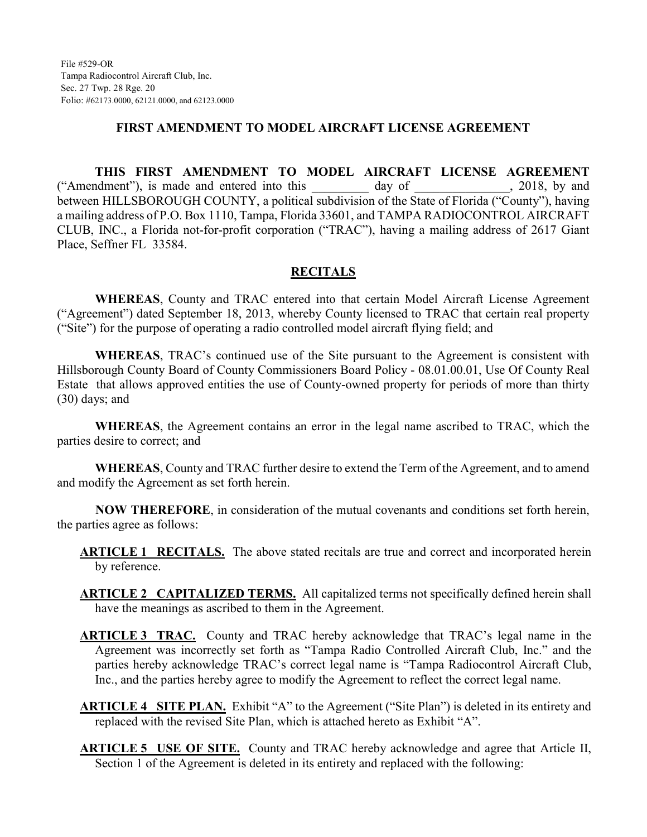#### **FIRST AMENDMENT TO MODEL AIRCRAFT LICENSE AGREEMENT**

**THIS FIRST AMENDMENT TO MODEL AIRCRAFT LICENSE AGREEMENT** ("Amendment"), is made and entered into this day of , 2018, by and between HILLSBOROUGH COUNTY, a political subdivision of the State of Florida ("County"), having a mailing address of P.O. Box 1110, Tampa, Florida 33601, and TAMPA RADIOCONTROL AIRCRAFT CLUB, INC., a Florida not-for-profit corporation ("TRAC"), having a mailing address of 2617 Giant Place, Seffner FL 33584.

#### **RECITALS**

**WHEREAS**, County and TRAC entered into that certain Model Aircraft License Agreement ("Agreement") dated September 18, 2013, whereby County licensed to TRAC that certain real property ("Site") for the purpose of operating a radio controlled model aircraft flying field; and

**WHEREAS**, TRAC's continued use of the Site pursuant to the Agreement is consistent with Hillsborough County Board of County Commissioners Board Policy - 08.01.00.01, Use Of County Real Estate that allows approved entities the use of County-owned property for periods of more than thirty (30) days; and

**WHEREAS**, the Agreement contains an error in the legal name ascribed to TRAC, which the parties desire to correct; and

**WHEREAS**, County and TRAC further desire to extend the Term of the Agreement, and to amend and modify the Agreement as set forth herein.

**NOW THEREFORE**, in consideration of the mutual covenants and conditions set forth herein, the parties agree as follows:

**ARTICLE 1 RECITALS.** The above stated recitals are true and correct and incorporated herein by reference.

**ARTICLE 2 CAPITALIZED TERMS.** All capitalized terms not specifically defined herein shall have the meanings as ascribed to them in the Agreement.

- **ARTICLE 3 TRAC.** County and TRAC hereby acknowledge that TRAC's legal name in the Agreement was incorrectly set forth as "Tampa Radio Controlled Aircraft Club, Inc." and the parties hereby acknowledge TRAC's correct legal name is "Tampa Radiocontrol Aircraft Club, Inc., and the parties hereby agree to modify the Agreement to reflect the correct legal name.
- **ARTICLE 4 SITE PLAN.** Exhibit "A" to the Agreement ("Site Plan") is deleted in its entirety and replaced with the revised Site Plan, which is attached hereto as Exhibit "A".
- **ARTICLE 5 USE OF SITE.** County and TRAC hereby acknowledge and agree that Article II, Section 1 of the Agreement is deleted in its entirety and replaced with the following: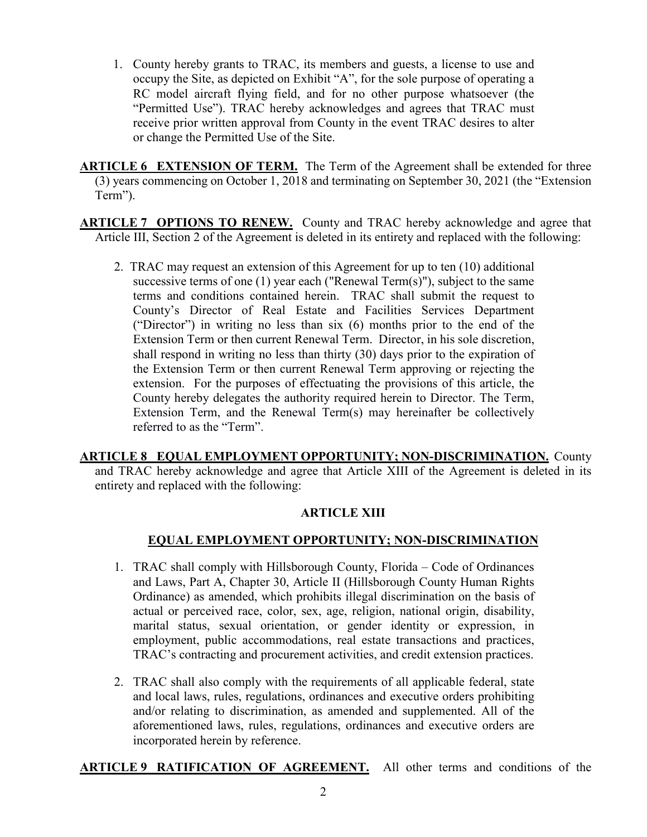1. County hereby grants to TRAC, its members and guests, a license to use and occupy the Site, as depicted on Exhibit "A", for the sole purpose of operating a RC model aircraft flying field, and for no other purpose whatsoever (the "Permitted Use"). TRAC hereby acknowledges and agrees that TRAC must receive prior written approval from County in the event TRAC desires to alter or change the Permitted Use of the Site.

**ARTICLE 6 EXTENSION OF TERM.** The Term of the Agreement shall be extended for three (3) years commencing on October 1, 2018 and terminating on September 30, 2021 (the "Extension Term").

**ARTICLE 7 OPTIONS TO RENEW.** County and TRAC hereby acknowledge and agree that Article III, Section 2 of the Agreement is deleted in its entirety and replaced with the following:

2. TRAC may request an extension of this Agreement for up to ten (10) additional successive terms of one (1) year each ("Renewal Term(s)"), subject to the same terms and conditions contained herein. TRAC shall submit the request to County's Director of Real Estate and Facilities Services Department ("Director") in writing no less than six (6) months prior to the end of the Extension Term or then current Renewal Term. Director, in his sole discretion, shall respond in writing no less than thirty (30) days prior to the expiration of the Extension Term or then current Renewal Term approving or rejecting the extension. For the purposes of effectuating the provisions of this article, the County hereby delegates the authority required herein to Director. The Term, Extension Term, and the Renewal Term(s) may hereinafter be collectively referred to as the "Term".

**ARTICLE 8 EQUAL EMPLOYMENT OPPORTUNITY; NON-DISCRIMINATION.** County and TRAC hereby acknowledge and agree that Article XIII of the Agreement is deleted in its entirety and replaced with the following:

## **ARTICLE XIII**

# **EQUAL EMPLOYMENT OPPORTUNITY; NON-DISCRIMINATION**

- 1. TRAC shall comply with Hillsborough County, Florida Code of Ordinances and Laws, Part A, Chapter 30, Article II (Hillsborough County Human Rights Ordinance) as amended, which prohibits illegal discrimination on the basis of actual or perceived race, color, sex, age, religion, national origin, disability, marital status, sexual orientation, or gender identity or expression, in employment, public accommodations, real estate transactions and practices, TRAC's contracting and procurement activities, and credit extension practices.
- 2. TRAC shall also comply with the requirements of all applicable federal, state and local laws, rules, regulations, ordinances and executive orders prohibiting and/or relating to discrimination, as amended and supplemented. All of the aforementioned laws, rules, regulations, ordinances and executive orders are incorporated herein by reference.

**ARTICLE 9 RATIFICATION OF AGREEMENT.** All other terms and conditions of the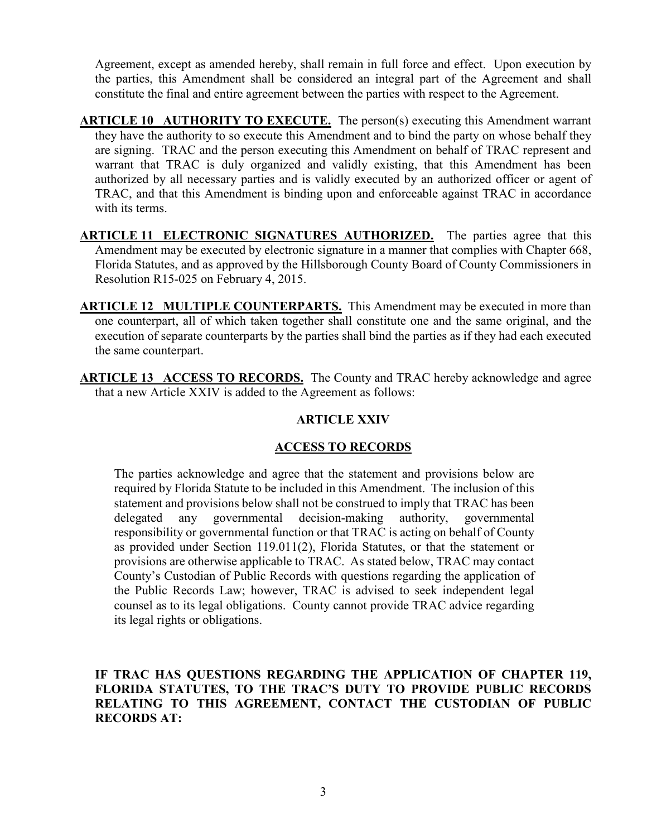Agreement, except as amended hereby, shall remain in full force and effect. Upon execution by the parties, this Amendment shall be considered an integral part of the Agreement and shall constitute the final and entire agreement between the parties with respect to the Agreement.

**ARTICLE 10 AUTHORITY TO EXECUTE.** The person(s) executing this Amendment warrant they have the authority to so execute this Amendment and to bind the party on whose behalf they are signing. TRAC and the person executing this Amendment on behalf of TRAC represent and warrant that TRAC is duly organized and validly existing, that this Amendment has been authorized by all necessary parties and is validly executed by an authorized officer or agent of TRAC, and that this Amendment is binding upon and enforceable against TRAC in accordance with its terms.

**ARTICLE 11 ELECTRONIC SIGNATURES AUTHORIZED.** The parties agree that this Amendment may be executed by electronic signature in a manner that complies with Chapter 668, Florida Statutes, and as approved by the Hillsborough County Board of County Commissioners in Resolution R15-025 on February 4, 2015.

**ARTICLE 12 MULTIPLE COUNTERPARTS.** This Amendment may be executed in more than one counterpart, all of which taken together shall constitute one and the same original, and the execution of separate counterparts by the parties shall bind the parties as if they had each executed the same counterpart.

**ARTICLE 13 ACCESS TO RECORDS.** The County and TRAC hereby acknowledge and agree that a new Article XXIV is added to the Agreement as follows:

## **ARTICLE XXIV**

## **ACCESS TO RECORDS**

The parties acknowledge and agree that the statement and provisions below are required by Florida Statute to be included in this Amendment. The inclusion of this statement and provisions below shall not be construed to imply that TRAC has been delegated any governmental decision-making authority, governmental responsibility or governmental function or that TRAC is acting on behalf of County as provided under Section 119.011(2), Florida Statutes, or that the statement or provisions are otherwise applicable to TRAC. As stated below, TRAC may contact County's Custodian of Public Records with questions regarding the application of the Public Records Law; however, TRAC is advised to seek independent legal counsel as to its legal obligations. County cannot provide TRAC advice regarding its legal rights or obligations.

## **IF TRAC HAS QUESTIONS REGARDING THE APPLICATION OF CHAPTER 119, FLORIDA STATUTES, TO THE TRAC'S DUTY TO PROVIDE PUBLIC RECORDS RELATING TO THIS AGREEMENT, CONTACT THE CUSTODIAN OF PUBLIC RECORDS AT:**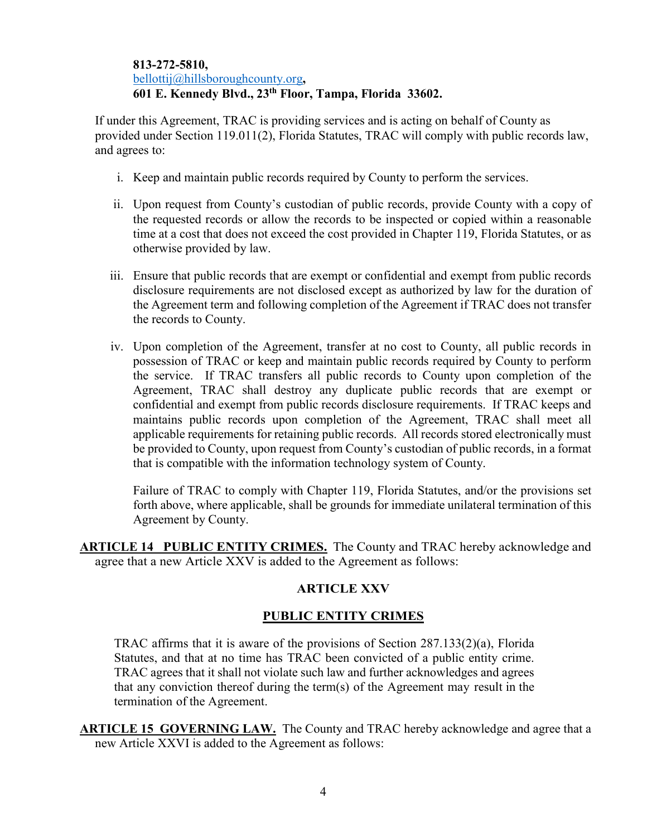#### **813-272-5810,**  bellottij@hillsboroughcounty.org**, 601 E. Kennedy Blvd., 23th Floor, Tampa, Florida 33602.**

If under this Agreement, TRAC is providing services and is acting on behalf of County as provided under Section 119.011(2), Florida Statutes, TRAC will comply with public records law, and agrees to:

- i. Keep and maintain public records required by County to perform the services.
- ii. Upon request from County's custodian of public records, provide County with a copy of the requested records or allow the records to be inspected or copied within a reasonable time at a cost that does not exceed the cost provided in Chapter 119, Florida Statutes, or as otherwise provided by law.
- iii. Ensure that public records that are exempt or confidential and exempt from public records disclosure requirements are not disclosed except as authorized by law for the duration of the Agreement term and following completion of the Agreement if TRAC does not transfer the records to County.
- iv. Upon completion of the Agreement, transfer at no cost to County, all public records in possession of TRAC or keep and maintain public records required by County to perform the service. If TRAC transfers all public records to County upon completion of the Agreement, TRAC shall destroy any duplicate public records that are exempt or confidential and exempt from public records disclosure requirements. If TRAC keeps and maintains public records upon completion of the Agreement, TRAC shall meet all applicable requirements for retaining public records. All records stored electronically must be provided to County, upon request from County's custodian of public records, in a format that is compatible with the information technology system of County.

Failure of TRAC to comply with Chapter 119, Florida Statutes, and/or the provisions set forth above, where applicable, shall be grounds for immediate unilateral termination of this Agreement by County.

**ARTICLE 14 PUBLIC ENTITY CRIMES.** The County and TRAC hereby acknowledge and agree that a new Article XXV is added to the Agreement as follows:

## **ARTICLE XXV**

## **PUBLIC ENTITY CRIMES**

TRAC affirms that it is aware of the provisions of Section 287.133(2)(a), Florida Statutes, and that at no time has TRAC been convicted of a public entity crime. TRAC agrees that it shall not violate such law and further acknowledges and agrees that any conviction thereof during the term(s) of the Agreement may result in the termination of the Agreement.

**ARTICLE 15 GOVERNING LAW.** The County and TRAC hereby acknowledge and agree that a new Article XXVI is added to the Agreement as follows: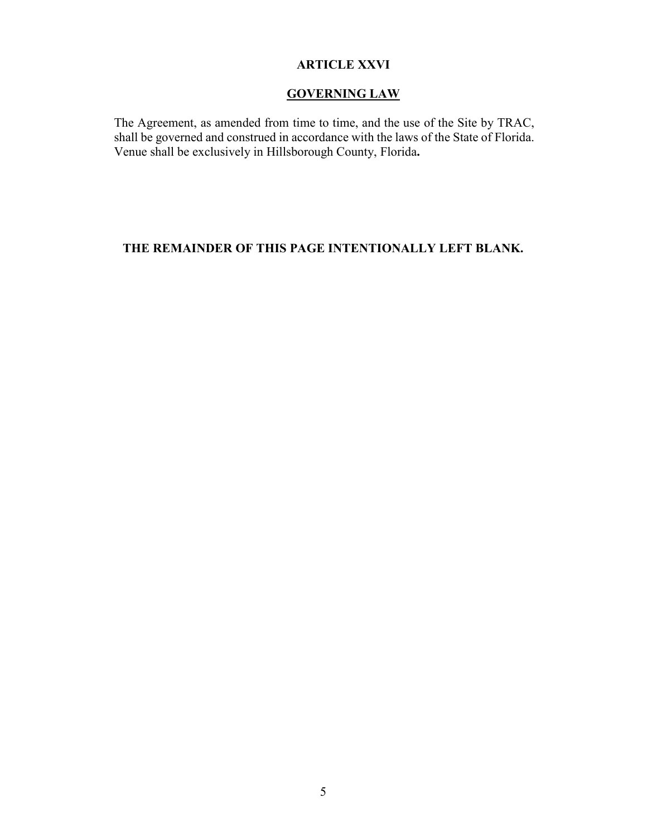## **ARTICLE XXVI**

#### **GOVERNING LAW**

The Agreement, as amended from time to time, and the use of the Site by TRAC, shall be governed and construed in accordance with the laws of the State of Florida. Venue shall be exclusively in Hillsborough County, Florida**.** 

# **THE REMAINDER OF THIS PAGE INTENTIONALLY LEFT BLANK.**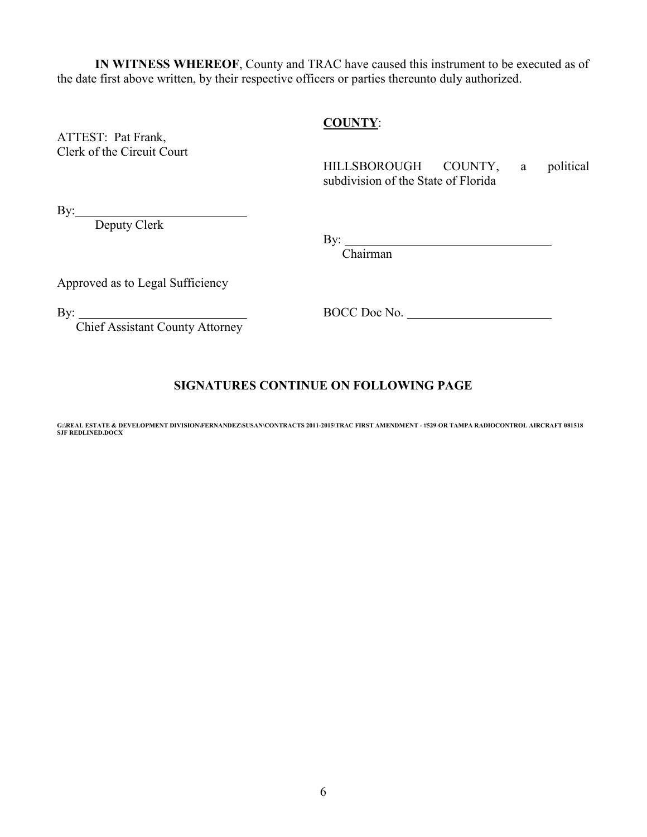**IN WITNESS WHEREOF**, County and TRAC have caused this instrument to be executed as of the date first above written, by their respective officers or parties thereunto duly authorized.

#### **COUNTY**:

ATTEST: Pat Frank, Clerk of the Circuit Court

HILLSBOROUGH COUNTY, a political subdivision of the State of Florida

By:

Deputy Clerk

By:

Chairman

Approved as to Legal Sufficiency

Chief Assistant County Attorney

By: BOCC Doc No.

# **SIGNATURES CONTINUE ON FOLLOWING PAGE**

**G:\REAL ESTATE & DEVELOPMENT DIVISION\FERNANDEZ\SUSAN\CONTRACTS 2011-2015\TRAC FIRST AMENDMENT - #529-OR TAMPA RADIOCONTROL AIRCRAFT 081518 SJF REDLINED.DOCX**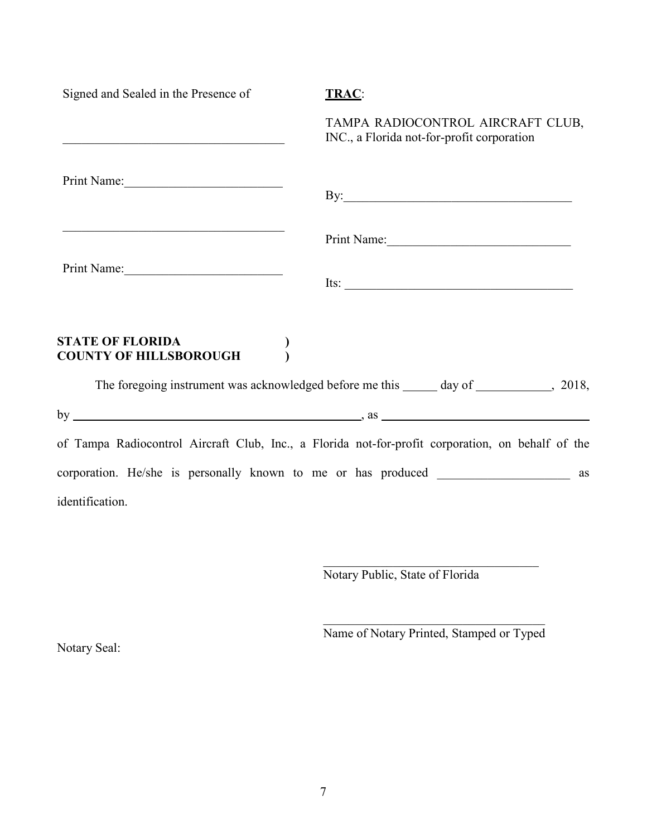| Signed and Sealed in the Presence of                                                                                  | <b>TRAC:</b>                                                                                                                                                                                                                         |
|-----------------------------------------------------------------------------------------------------------------------|--------------------------------------------------------------------------------------------------------------------------------------------------------------------------------------------------------------------------------------|
| <u> 1990 - Johann Harry Barn, mars ann an t-Amhain an t-Amhain an t-Amhain an t-Amhain an t-Amhain an t-Amhain an</u> | TAMPA RADIOCONTROL AIRCRAFT CLUB,<br>INC., a Florida not-for-profit corporation                                                                                                                                                      |
| Print Name:                                                                                                           | By: <u>superior and the set of the set of the set of the set of the set of the set of the set of the set of the set of the set of the set of the set of the set of the set of the set of the set of the set of the set of the se</u> |
|                                                                                                                       | Print Name:                                                                                                                                                                                                                          |
| Print Name:                                                                                                           | Its: $\frac{1}{\sqrt{1-\frac{1}{2}}\left\vert \frac{1}{2(1-\frac{1}{2})^2}\right\vert^2}$                                                                                                                                            |
| <b>STATE OF FLORIDA</b><br><b>COUNTY OF HILLSBOROUGH</b>                                                              |                                                                                                                                                                                                                                      |
|                                                                                                                       | The foregoing instrument was acknowledged before me this ______ day of ____________, 2018,                                                                                                                                           |
|                                                                                                                       |                                                                                                                                                                                                                                      |
|                                                                                                                       | of Tampa Radiocontrol Aircraft Club, Inc., a Florida not-for-profit corporation, on behalf of the                                                                                                                                    |
|                                                                                                                       | corporation. He/she is personally known to me or has produced ___________________ as                                                                                                                                                 |
| identification.                                                                                                       |                                                                                                                                                                                                                                      |

Notary Public, State of Florida

Name of Notary Printed, Stamped or Typed

 $\overline{\phantom{a}}$  , which is a set of the set of the set of the set of the set of the set of the set of the set of the set of the set of the set of the set of the set of the set of the set of the set of the set of the set of th

Notary Seal: